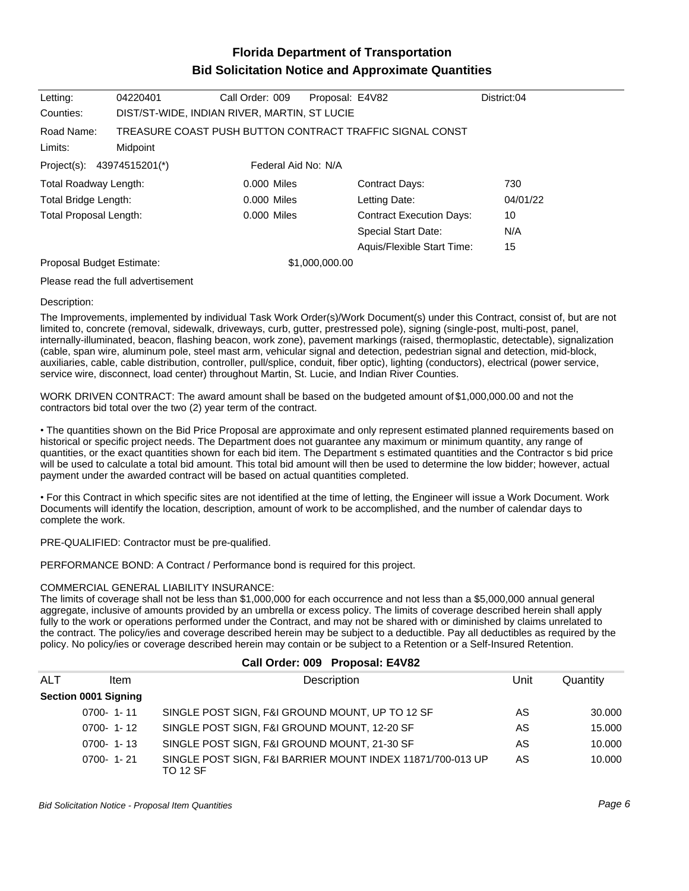# **Florida Department of Transportation Bid Solicitation Notice and Approximate Quantities**

| Letting:                                                  | 04220401 | Call Order: 009     | Proposal: E4V82 |                                                          | District:04 |
|-----------------------------------------------------------|----------|---------------------|-----------------|----------------------------------------------------------|-------------|
| DIST/ST-WIDE, INDIAN RIVER, MARTIN, ST LUCIE<br>Counties: |          |                     |                 |                                                          |             |
| Road Name:                                                |          |                     |                 | TREASURE COAST PUSH BUTTON CONTRACT TRAFFIC SIGNAL CONST |             |
| Limits:                                                   | Midpoint |                     |                 |                                                          |             |
| Project(s): 43974515201(*)                                |          | Federal Aid No: N/A |                 |                                                          |             |
| Total Roadway Length:                                     |          | 0.000 Miles         |                 | Contract Days:                                           | 730         |
| Total Bridge Length:                                      |          | 0.000 Miles         |                 | Letting Date:                                            | 04/01/22    |
| <b>Total Proposal Length:</b>                             |          | 0.000 Miles         |                 | <b>Contract Execution Days:</b>                          | 10          |
|                                                           |          |                     |                 | <b>Special Start Date:</b>                               | N/A         |
|                                                           |          |                     |                 | Aquis/Flexible Start Time:                               | 15          |
| Proposal Budget Estimate:                                 |          |                     | \$1,000,000.00  |                                                          |             |
|                                                           |          |                     |                 |                                                          |             |

Please read the full advertisement

#### Description:

The Improvements, implemented by individual Task Work Order(s)/Work Document(s) under this Contract, consist of, but are not limited to, concrete (removal, sidewalk, driveways, curb, gutter, prestressed pole), signing (single-post, multi-post, panel, internally-illuminated, beacon, flashing beacon, work zone), pavement markings (raised, thermoplastic, detectable), signalization (cable, span wire, aluminum pole, steel mast arm, vehicular signal and detection, pedestrian signal and detection, mid-block, auxiliaries, cable, cable distribution, controller, pull/splice, conduit, fiber optic), lighting (conductors), electrical (power service, service wire, disconnect, load center) throughout Martin, St. Lucie, and Indian River Counties.

WORK DRIVEN CONTRACT: The award amount shall be based on the budgeted amount of \$1,000,000.00 and not the contractors bid total over the two (2) year term of the contract.

The quantities shown on the Bid Price Proposal are approximate and only represent estimated planned requirements based on historical or specific project needs. The Department does not guarantee any maximum or minimum quantity, any range of quantities, or the exact quantities shown for each bid item. The Department s estimated quantities and the Contractor s bid price will be used to calculate a total bid amount. This total bid amount will then be used to determine the low bidder; however, actual payment under the awarded contract will be based on actual quantities completed.

For this Contract in which specific sites are not identified at the time of letting, the Engineer will issue a Work Document. Work Documents will identify the location, description, amount of work to be accomplished, and the number of calendar days to complete the work.

PRE-QUALIFIED: Contractor must be pre-qualified.

PERFORMANCE BOND: A Contract / Performance bond is required for this project.

#### COMMERCIAL GENERAL LIABILITY INSURANCE:

The limits of coverage shall not be less than \$1,000,000 for each occurrence and not less than a \$5,000,000 annual general aggregate, inclusive of amounts provided by an umbrella or excess policy. The limits of coverage described herein shall apply fully to the work or operations performed under the Contract, and may not be shared with or diminished by claims unrelated to the contract. The policy/ies and coverage described herein may be subject to a deductible. Pay all deductibles as required by the policy. No policy/ies or coverage described herein may contain or be subject to a Retention or a Self-Insured Retention.

| Gall Order: 009 Proposal: E4V62 |                      |                                                                               |      |          |
|---------------------------------|----------------------|-------------------------------------------------------------------------------|------|----------|
| ALT                             | <b>Item</b>          | Description                                                                   | Unit | Quantity |
|                                 | Section 0001 Signing |                                                                               |      |          |
|                                 | $0700 - 1 - 11$      | SINGLE POST SIGN, F&I GROUND MOUNT, UP TO 12 SF                               | AS   | 30.000   |
|                                 | $0700 - 1 - 12$      | SINGLE POST SIGN, F&I GROUND MOUNT, 12-20 SF                                  | AS   | 15.000   |
|                                 | $0700 - 1 - 13$      | SINGLE POST SIGN, F&I GROUND MOUNT, 21-30 SF                                  | AS   | 10.000   |
|                                 | $0700 - 1 - 21$      | SINGLE POST SIGN, F&I BARRIER MOUNT INDEX 11871/700-013 UP<br><b>TO 12 SF</b> | AS   | 10.000   |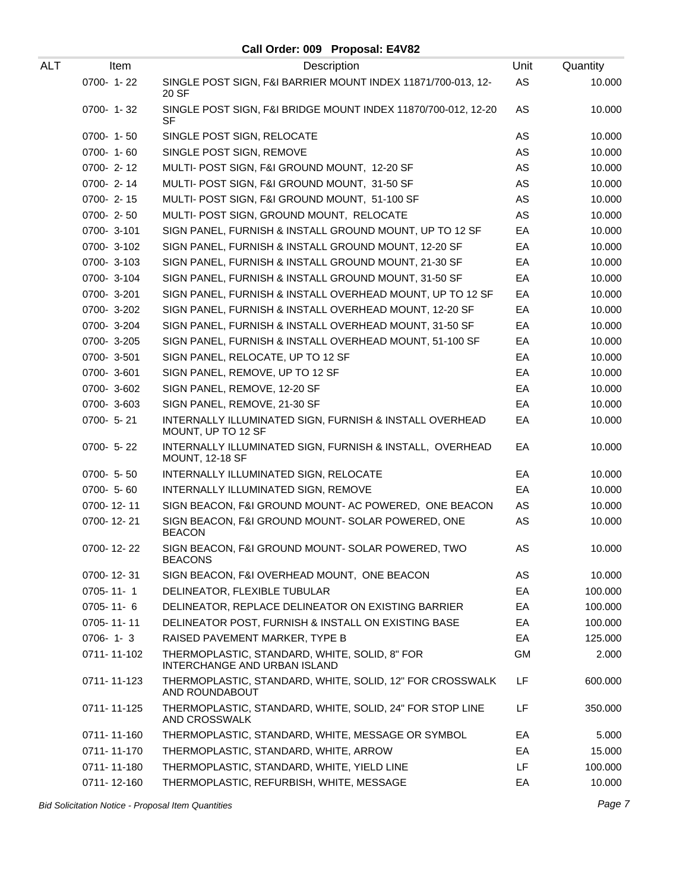| ALT | Item            | Description                                                                        | Unit      | Quantity |
|-----|-----------------|------------------------------------------------------------------------------------|-----------|----------|
|     | 0700-1-22       | SINGLE POST SIGN, F&I BARRIER MOUNT INDEX 11871/700-013, 12-<br>20 SF              | AS        | 10.000   |
|     | 0700-1-32       | SINGLE POST SIGN, F&I BRIDGE MOUNT INDEX 11870/700-012, 12-20<br>SF                | AS        | 10.000   |
|     | 0700-1-50       | SINGLE POST SIGN, RELOCATE                                                         | AS        | 10.000   |
|     | $0700 - 1 - 60$ | SINGLE POST SIGN, REMOVE                                                           | AS        | 10.000   |
|     | $0700 - 2 - 12$ | MULTI- POST SIGN, F&I GROUND MOUNT, 12-20 SF                                       | AS        | 10.000   |
|     | 0700-2-14       | MULTI- POST SIGN, F&I GROUND MOUNT, 31-50 SF                                       | AS        | 10.000   |
|     | $0700 - 2 - 15$ | MULTI- POST SIGN, F&I GROUND MOUNT, 51-100 SF                                      | AS        | 10.000   |
|     | 0700-2-50       | MULTI- POST SIGN, GROUND MOUNT, RELOCATE                                           | AS        | 10.000   |
|     | 0700-3-101      | SIGN PANEL, FURNISH & INSTALL GROUND MOUNT, UP TO 12 SF                            | EA        | 10.000   |
|     | 0700-3-102      | SIGN PANEL, FURNISH & INSTALL GROUND MOUNT, 12-20 SF                               | EA        | 10.000   |
|     | 0700-3-103      | SIGN PANEL, FURNISH & INSTALL GROUND MOUNT, 21-30 SF                               | EA        | 10.000   |
|     | 0700-3-104      | SIGN PANEL, FURNISH & INSTALL GROUND MOUNT, 31-50 SF                               | EA        | 10.000   |
|     | 0700-3-201      | SIGN PANEL, FURNISH & INSTALL OVERHEAD MOUNT, UP TO 12 SF                          | EA        | 10.000   |
|     | 0700-3-202      | SIGN PANEL, FURNISH & INSTALL OVERHEAD MOUNT, 12-20 SF                             | EA        | 10.000   |
|     | 0700-3-204      | SIGN PANEL, FURNISH & INSTALL OVERHEAD MOUNT, 31-50 SF                             | EA        | 10.000   |
|     | 0700-3-205      | SIGN PANEL, FURNISH & INSTALL OVERHEAD MOUNT, 51-100 SF                            | EA        | 10.000   |
|     | 0700-3-501      | SIGN PANEL, RELOCATE, UP TO 12 SF                                                  | EA        | 10.000   |
|     | 0700-3-601      | SIGN PANEL, REMOVE, UP TO 12 SF                                                    | EA        | 10.000   |
|     | 0700-3-602      | SIGN PANEL, REMOVE, 12-20 SF                                                       | EA        | 10.000   |
|     | 0700-3-603      | SIGN PANEL, REMOVE, 21-30 SF                                                       | EA        | 10.000   |
|     | 0700- 5-21      | INTERNALLY ILLUMINATED SIGN, FURNISH & INSTALL OVERHEAD<br>MOUNT, UP TO 12 SF      | EA        | 10.000   |
|     | 0700- 5-22      | INTERNALLY ILLUMINATED SIGN, FURNISH & INSTALL, OVERHEAD<br><b>MOUNT, 12-18 SF</b> | EA        | 10.000   |
|     | 0700- 5-50      | INTERNALLY ILLUMINATED SIGN, RELOCATE                                              | EA        | 10.000   |
|     | $0700 - 5 - 60$ | INTERNALLY ILLUMINATED SIGN, REMOVE                                                | EA        | 10.000   |
|     | 0700-12-11      | SIGN BEACON, F&I GROUND MOUNT- AC POWERED, ONE BEACON                              | AS        | 10.000   |
|     | 0700-12-21      | SIGN BEACON, F&I GROUND MOUNT- SOLAR POWERED, ONE<br><b>BEACON</b>                 | AS        | 10.000   |
|     | 0700-12-22      | SIGN BEACON, F&I GROUND MOUNT- SOLAR POWERED, TWO<br><b>BEACONS</b>                | AS        | 10.000   |
|     | 0700-12-31      | SIGN BEACON, F&I OVERHEAD MOUNT, ONE BEACON                                        | AS        | 10.000   |
|     | 0705-11-1       | DELINEATOR, FLEXIBLE TUBULAR                                                       | EA        | 100.000  |
|     | $0705 - 11 - 6$ | DELINEATOR, REPLACE DELINEATOR ON EXISTING BARRIER                                 | EA        | 100.000  |
|     | 0705-11-11      | DELINEATOR POST, FURNISH & INSTALL ON EXISTING BASE                                | EA        | 100.000  |
|     | $0706 - 1 - 3$  | RAISED PAVEMENT MARKER, TYPE B                                                     | EA        | 125.000  |
|     | 0711-11-102     | THERMOPLASTIC, STANDARD, WHITE, SOLID, 8" FOR<br>INTERCHANGE AND URBAN ISLAND      | <b>GM</b> | 2.000    |
|     | 0711-11-123     | THERMOPLASTIC, STANDARD, WHITE, SOLID, 12" FOR CROSSWALK<br>AND ROUNDABOUT         | LF        | 600.000  |
|     | 0711-11-125     | THERMOPLASTIC, STANDARD, WHITE, SOLID, 24" FOR STOP LINE<br>AND CROSSWALK          | LF        | 350.000  |
|     | 0711-11-160     | THERMOPLASTIC, STANDARD, WHITE, MESSAGE OR SYMBOL                                  | EA        | 5.000    |
|     | 0711-11-170     | THERMOPLASTIC, STANDARD, WHITE, ARROW                                              | EA        | 15.000   |
|     | 0711-11-180     | THERMOPLASTIC, STANDARD, WHITE, YIELD LINE                                         | LF        | 100.000  |
|     | 0711-12-160     | THERMOPLASTIC, REFURBISH, WHITE, MESSAGE                                           | EA        | 10.000   |

Bid Solicitation Notice - Proposal Item Quantities **Page 7** and the set of the set of the set of the set of the set of the set of the set of the set of the set of the set of the set of the set of the set of the set of the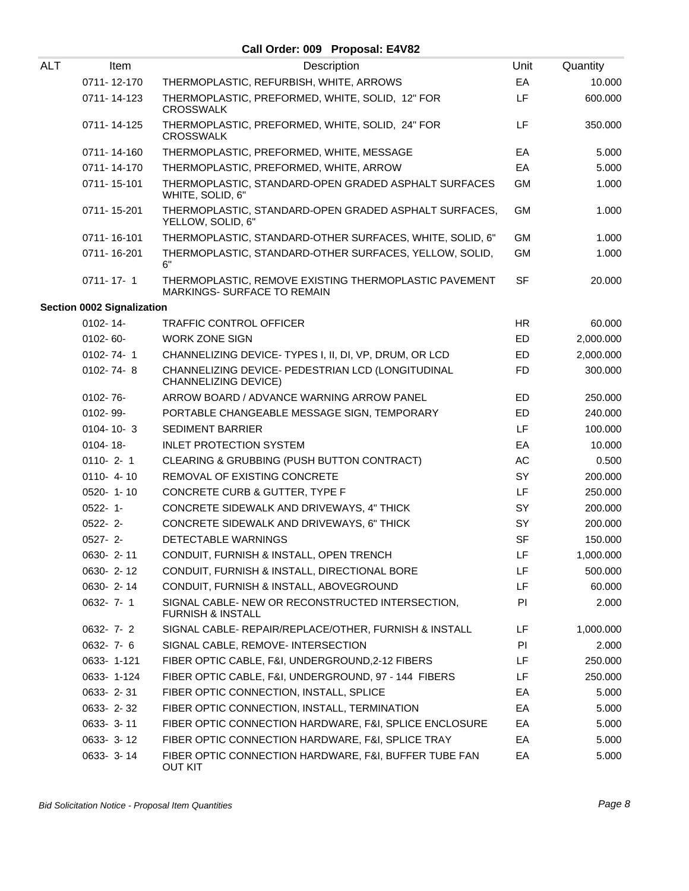| <b>ALT</b> | Item                       | Description                                                                          | Unit      | Quantity  |
|------------|----------------------------|--------------------------------------------------------------------------------------|-----------|-----------|
|            | 0711-12-170                | THERMOPLASTIC, REFURBISH, WHITE, ARROWS                                              | EA        | 10.000    |
|            | 0711-14-123                | THERMOPLASTIC, PREFORMED, WHITE, SOLID, 12" FOR<br><b>CROSSWALK</b>                  | LF        | 600.000   |
|            | 0711-14-125                | THERMOPLASTIC, PREFORMED, WHITE, SOLID, 24" FOR<br><b>CROSSWALK</b>                  | LF        | 350.000   |
|            | 0711-14-160                | THERMOPLASTIC, PREFORMED, WHITE, MESSAGE                                             | EA        | 5.000     |
|            | 0711-14-170                | THERMOPLASTIC, PREFORMED, WHITE, ARROW                                               | EA        | 5.000     |
|            | 0711-15-101                | THERMOPLASTIC, STANDARD-OPEN GRADED ASPHALT SURFACES<br>WHITE, SOLID, 6"             | <b>GM</b> | 1.000     |
|            | 0711-15-201                | THERMOPLASTIC, STANDARD-OPEN GRADED ASPHALT SURFACES,<br>YELLOW, SOLID, 6"           | <b>GM</b> | 1.000     |
|            | 0711-16-101                | THERMOPLASTIC, STANDARD-OTHER SURFACES, WHITE, SOLID, 6"                             | <b>GM</b> | 1.000     |
|            | 0711-16-201                | THERMOPLASTIC, STANDARD-OTHER SURFACES, YELLOW, SOLID,<br>6"                         | <b>GM</b> | 1.000     |
|            | $0711 - 17 - 1$            | THERMOPLASTIC, REMOVE EXISTING THERMOPLASTIC PAVEMENT<br>MARKINGS- SURFACE TO REMAIN | <b>SF</b> | 20.000    |
|            | Section 0002 Signalization |                                                                                      |           |           |
|            | $0102 - 14$                | <b>TRAFFIC CONTROL OFFICER</b>                                                       | <b>HR</b> | 60.000    |
|            | 0102-60-                   | <b>WORK ZONE SIGN</b>                                                                | ED        | 2,000.000 |
|            | $0102 - 74 - 1$            | CHANNELIZING DEVICE- TYPES I, II, DI, VP, DRUM, OR LCD                               | ED        | 2,000.000 |
|            | 0102-74-8                  | CHANNELIZING DEVICE- PEDESTRIAN LCD (LONGITUDINAL<br>CHANNELIZING DEVICE)            | <b>FD</b> | 300.000   |
|            | 0102-76-                   | ARROW BOARD / ADVANCE WARNING ARROW PANEL                                            | <b>ED</b> | 250.000   |
|            | 0102-99-                   | PORTABLE CHANGEABLE MESSAGE SIGN, TEMPORARY                                          | ED        | 240.000   |
|            | $0104 - 10 - 3$            | <b>SEDIMENT BARRIER</b>                                                              | LF.       | 100.000   |
|            | 0104-18-                   | <b>INLET PROTECTION SYSTEM</b>                                                       | EA        | 10.000    |
|            | $0110 - 2 - 1$             | CLEARING & GRUBBING (PUSH BUTTON CONTRACT)                                           | AC        | 0.500     |
|            | $0110 - 4 - 10$            | REMOVAL OF EXISTING CONCRETE                                                         | SY        | 200.000   |
|            | 0520-1-10                  | CONCRETE CURB & GUTTER, TYPE F                                                       | LF.       | 250.000   |
|            | $0522 - 1 -$               | CONCRETE SIDEWALK AND DRIVEWAYS, 4" THICK                                            | SY        | 200.000   |
|            | $0522 - 2$ -               | CONCRETE SIDEWALK AND DRIVEWAYS, 6" THICK                                            | SY        | 200.000   |
|            | $0527 - 2-$                | DETECTABLE WARNINGS                                                                  | <b>SF</b> | 150.000   |
|            | 0630-2-11                  | CONDUIT, FURNISH & INSTALL, OPEN TRENCH                                              | LF        | 1,000.000 |
|            | 0630-2-12                  | CONDUIT, FURNISH & INSTALL, DIRECTIONAL BORE                                         | LF        | 500.000   |
|            | 0630-2-14                  | CONDUIT, FURNISH & INSTALL, ABOVEGROUND                                              | LF        | 60.000    |
|            | $0632 - 7 - 1$             | SIGNAL CABLE- NEW OR RECONSTRUCTED INTERSECTION,<br><b>FURNISH &amp; INSTALL</b>     | PI        | 2.000     |
|            | $0632 - 7 - 2$             | SIGNAL CABLE- REPAIR/REPLACE/OTHER, FURNISH & INSTALL                                | LF        | 1,000.000 |
|            | $0632 - 7 - 6$             | SIGNAL CABLE, REMOVE- INTERSECTION                                                   | PI.       | 2.000     |
|            | 0633-1-121                 | FIBER OPTIC CABLE, F&I, UNDERGROUND, 2-12 FIBERS                                     | LF.       | 250.000   |
|            | 0633-1-124                 | FIBER OPTIC CABLE, F&I, UNDERGROUND, 97 - 144 FIBERS                                 | LF        | 250.000   |
|            | 0633-2-31                  | FIBER OPTIC CONNECTION, INSTALL, SPLICE                                              | EA        | 5.000     |
|            | 0633-2-32                  | FIBER OPTIC CONNECTION, INSTALL, TERMINATION                                         | EA        | 5.000     |
|            | 0633-3-11                  | FIBER OPTIC CONNECTION HARDWARE, F&I, SPLICE ENCLOSURE                               | EA        | 5.000     |
|            | 0633-3-12                  | FIBER OPTIC CONNECTION HARDWARE, F&I, SPLICE TRAY                                    | EA        | 5.000     |
|            | 0633-3-14                  | FIBER OPTIC CONNECTION HARDWARE, F&I, BUFFER TUBE FAN<br><b>OUT KIT</b>              | EA        | 5.000     |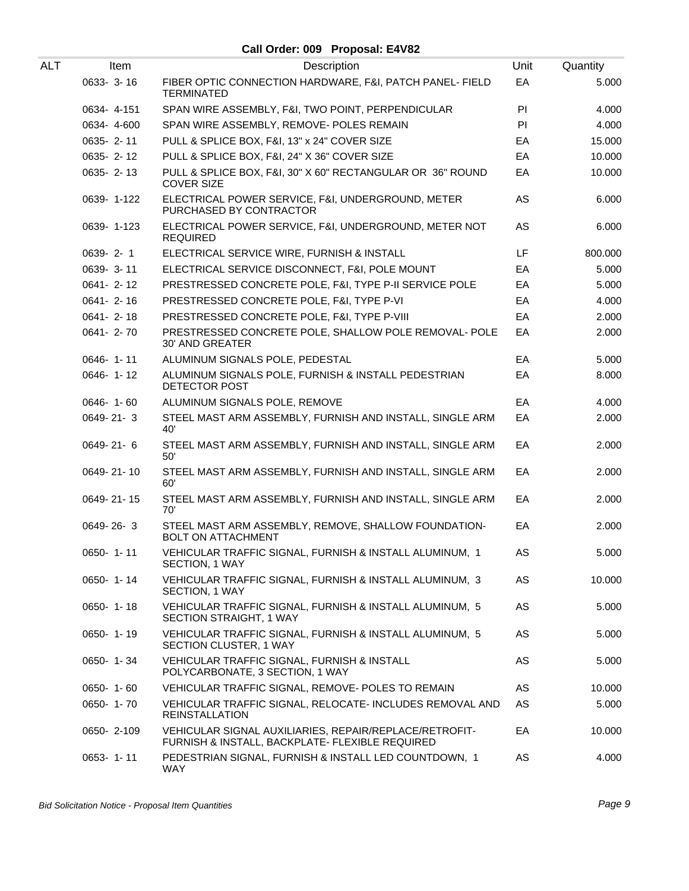| ALT | Item            | Description                                                                                               | Unit | Quantity |
|-----|-----------------|-----------------------------------------------------------------------------------------------------------|------|----------|
|     | 0633- 3-16      | FIBER OPTIC CONNECTION HARDWARE, F&I, PATCH PANEL- FIELD<br><b>TERMINATED</b>                             | EA   | 5.000    |
|     | 0634-4-151      | SPAN WIRE ASSEMBLY, F&I, TWO POINT, PERPENDICULAR                                                         | PI.  | 4.000    |
|     | 0634-4-600      | SPAN WIRE ASSEMBLY, REMOVE- POLES REMAIN                                                                  | PI   | 4.000    |
|     | 0635-2-11       | PULL & SPLICE BOX, F&I, 13" x 24" COVER SIZE                                                              | EA   | 15.000   |
|     | 0635-2-12       | PULL & SPLICE BOX, F&I, 24" X 36" COVER SIZE                                                              | EA   | 10.000   |
|     | 0635-2-13       | PULL & SPLICE BOX, F&I, 30" X 60" RECTANGULAR OR 36" ROUND<br><b>COVER SIZE</b>                           | EA   | 10.000   |
|     | 0639-1-122      | ELECTRICAL POWER SERVICE, F&I, UNDERGROUND, METER<br>PURCHASED BY CONTRACTOR                              | AS   | 6.000    |
|     | 0639-1-123      | ELECTRICAL POWER SERVICE, F&I, UNDERGROUND, METER NOT<br><b>REQUIRED</b>                                  | AS   | 6.000    |
|     | $0639 - 2 - 1$  | ELECTRICAL SERVICE WIRE, FURNISH & INSTALL                                                                | LF   | 800.000  |
|     | 0639-3-11       | ELECTRICAL SERVICE DISCONNECT, F&I, POLE MOUNT                                                            | EA   | 5.000    |
|     | 0641-2-12       | PRESTRESSED CONCRETE POLE, F&I, TYPE P-II SERVICE POLE                                                    | EA   | 5.000    |
|     | $0641 - 2 - 16$ | PRESTRESSED CONCRETE POLE, F&I, TYPE P-VI                                                                 | EA   | 4.000    |
|     | 0641-2-18       | PRESTRESSED CONCRETE POLE, F&I, TYPE P-VIII                                                               | EA   | 2.000    |
|     | 0641-2-70       | PRESTRESSED CONCRETE POLE, SHALLOW POLE REMOVAL- POLE<br><b>30' AND GREATER</b>                           | EA   | 2.000    |
|     | $0646 - 1 - 11$ | ALUMINUM SIGNALS POLE, PEDESTAL                                                                           | EA   | 5.000    |
|     | 0646-1-12       | ALUMINUM SIGNALS POLE, FURNISH & INSTALL PEDESTRIAN<br>DETECTOR POST                                      | EA   | 8.000    |
|     | $0646 - 1 - 60$ | ALUMINUM SIGNALS POLE, REMOVE                                                                             | EA   | 4.000    |
|     | 0649-21-3       | STEEL MAST ARM ASSEMBLY, FURNISH AND INSTALL, SINGLE ARM<br>40'                                           | EA   | 2.000    |
|     | 0649-21-6       | STEEL MAST ARM ASSEMBLY, FURNISH AND INSTALL, SINGLE ARM<br>50'                                           | EA   | 2.000    |
|     | 0649-21-10      | STEEL MAST ARM ASSEMBLY, FURNISH AND INSTALL, SINGLE ARM<br>60'                                           | EA   | 2.000    |
|     | 0649-21-15      | STEEL MAST ARM ASSEMBLY, FURNISH AND INSTALL, SINGLE ARM<br>70'                                           | EA   | 2.000    |
|     | 0649-26-3       | STEEL MAST ARM ASSEMBLY, REMOVE, SHALLOW FOUNDATION-<br><b>BOLT ON ATTACHMENT</b>                         | EA   | 2.000    |
|     | $0650 - 1 - 11$ | VEHICULAR TRAFFIC SIGNAL, FURNISH & INSTALL ALUMINUM, 1<br>SECTION, 1 WAY                                 | AS   | 5.000    |
|     | $0650 - 1 - 14$ | VEHICULAR TRAFFIC SIGNAL, FURNISH & INSTALL ALUMINUM, 3<br>SECTION, 1 WAY                                 | AS   | 10.000   |
|     | $0650 - 1 - 18$ | VEHICULAR TRAFFIC SIGNAL, FURNISH & INSTALL ALUMINUM, 5<br>SECTION STRAIGHT, 1 WAY                        | AS   | 5.000    |
|     | 0650-1-19       | VEHICULAR TRAFFIC SIGNAL, FURNISH & INSTALL ALUMINUM, 5<br>SECTION CLUSTER, 1 WAY                         | AS   | 5.000    |
|     | 0650-1-34       | VEHICULAR TRAFFIC SIGNAL, FURNISH & INSTALL<br>POLYCARBONATE, 3 SECTION, 1 WAY                            | AS   | 5.000    |
|     | $0650 - 1 - 60$ | VEHICULAR TRAFFIC SIGNAL, REMOVE- POLES TO REMAIN                                                         | AS   | 10.000   |
|     | 0650-1-70       | VEHICULAR TRAFFIC SIGNAL, RELOCATE- INCLUDES REMOVAL AND<br><b>REINSTALLATION</b>                         | AS   | 5.000    |
|     | 0650-2-109      | VEHICULAR SIGNAL AUXILIARIES, REPAIR/REPLACE/RETROFIT-<br>FURNISH & INSTALL, BACKPLATE- FLEXIBLE REQUIRED | EA   | 10.000   |
|     | $0653 - 1 - 11$ | PEDESTRIAN SIGNAL, FURNISH & INSTALL LED COUNTDOWN, 1<br><b>WAY</b>                                       | AS   | 4.000    |